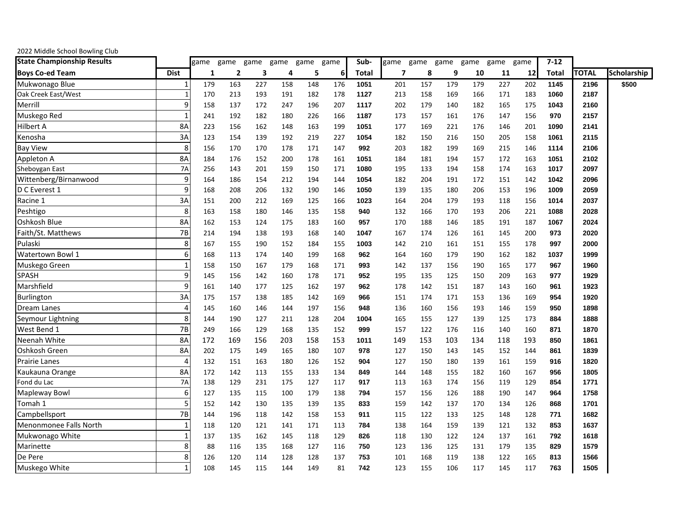| 2022 Middle School Bowling Club   |                |      |                |      |      |      |      |       |      |      |      |      |      |      |          |       |             |
|-----------------------------------|----------------|------|----------------|------|------|------|------|-------|------|------|------|------|------|------|----------|-------|-------------|
| <b>State Championship Results</b> |                | game | game           | game | game | game | game | Sub-  | game | game | game | game | game | game | $7 - 12$ |       |             |
| <b>Boys Co-ed Team</b>            | <b>Dist</b>    | 1    | $\overline{2}$ | 3    | 4    | 5    | 6    | Total | 7    | 8    | 9    | 10   | 11   | 12   | Total    | ΓΟΤΑL | Scholarship |
| Mukwonago Blue                    | 1              | 179  | 163            | 227  | 158  | 148  | 176  | 1051  | 201  | 157  | 179  | 179  | 227  | 202  | 1145     | 2196  | \$500       |
| Oak Creek East/West               | $\mathbf{1}$   | 170  | 213            | 193  | 191  | 182  | 178  | 1127  | 213  | 158  | 169  | 166  | 171  | 183  | 1060     | 2187  |             |
| Merrill                           | 9              | 158  | 137            | 172  | 247  | 196  | 207  | 1117  | 202  | 179  | 140  | 182  | 165  | 175  | 1043     | 2160  |             |
| Muskego Red                       |                | 241  | 192            | 182  | 180  | 226  | 166  | 1187  | 173  | 157  | 161  | 176  | 147  | 156  | 970      | 2157  |             |
| Hilbert A                         | 8A             | 223  | 156            | 162  | 148  | 163  | 199  | 1051  | 177  | 169  | 221  | 176  | 146  | 201  | 1090     | 2141  |             |
| Kenosha                           | 3A             | 123  | 154            | 139  | 192  | 219  | 227  | 1054  | 182  | 150  | 216  | 150  | 205  | 158  | 1061     | 2115  |             |
| <b>Bay View</b>                   | 8              | 156  | 170            | 170  | 178  | 171  | 147  | 992   | 203  | 182  | 199  | 169  | 215  | 146  | 1114     | 2106  |             |
| Appleton A                        | 8A             | 184  | 176            | 152  | 200  | 178  | 161  | 1051  | 184  | 181  | 194  | 157  | 172  | 163  | 1051     | 2102  |             |
| Sheboygan East                    | 7A             | 256  | 143            | 201  | 159  | 150  | 171  | 1080  | 195  | 133  | 194  | 158  | 174  | 163  | 1017     | 2097  |             |
| Wittenberg/Birnanwood             | 9              | 164  | 186            | 154  | 212  | 194  | 144  | 1054  | 182  | 204  | 191  | 172  | 151  | 142  | 1042     | 2096  |             |
| D C Everest 1                     | 9              | 168  | 208            | 206  | 132  | 190  | 146  | 1050  | 139  | 135  | 180  | 206  | 153  | 196  | 1009     | 2059  |             |
| Racine 1                          | 3A             | 151  | 200            | 212  | 169  | 125  | 166  | 1023  | 164  | 204  | 179  | 193  | 118  | 156  | 1014     | 2037  |             |
| Peshtigo                          | 8              | 163  | 158            | 180  | 146  | 135  | 158  | 940   | 132  | 166  | 170  | 193  | 206  | 221  | 1088     | 2028  |             |
| Oshkosh Blue                      | 8A             | 162  | 153            | 124  | 175  | 183  | 160  | 957   | 170  | 188  | 146  | 185  | 191  | 187  | 1067     | 2024  |             |
| Faith/St. Matthews                | 7B             | 214  | 194            | 138  | 193  | 168  | 140  | 1047  | 167  | 174  | 126  | 161  | 145  | 200  | 973      | 2020  |             |
| Pulaski                           | 8              | 167  | 155            | 190  | 152  | 184  | 155  | 1003  | 142  | 210  | 161  | 151  | 155  | 178  | 997      | 2000  |             |
| Watertown Bowl 1                  | 6              | 168  | 113            | 174  | 140  | 199  | 168  | 962   | 164  | 160  | 179  | 190  | 162  | 182  | 1037     | 1999  |             |
| Muskego Green                     | $\overline{1}$ | 158  | 150            | 167  | 179  | 168  | 171  | 993   | 142  | 137  | 156  | 190  | 165  | 177  | 967      | 1960  |             |
| <b>SPASH</b>                      | 9              | 145  | 156            | 142  | 160  | 178  | 171  | 952   | 195  | 135  | 125  | 150  | 209  | 163  | 977      | 1929  |             |
| Marshfield                        | 9              | 161  | 140            | 177  | 125  | 162  | 197  | 962   | 178  | 142  | 151  | 187  | 143  | 160  | 961      | 1923  |             |
| Burlington                        | 3A             | 175  | 157            | 138  | 185  | 142  | 169  | 966   | 151  | 174  | 171  | 153  | 136  | 169  | 954      | 1920  |             |
| Dream Lanes                       | 4              | 145  | 160            | 146  | 144  | 197  | 156  | 948   | 136  | 160  | 156  | 193  | 146  | 159  | 950      | 1898  |             |
| Seymour Lightning                 | 8              | 144  | 190            | 127  | 211  | 128  | 204  | 1004  | 165  | 155  | 127  | 139  | 125  | 173  | 884      | 1888  |             |
| West Bend 1                       | 7B             | 249  | 166            | 129  | 168  | 135  | 152  | 999   | 157  | 122  | 176  | 116  | 140  | 160  | 871      | 1870  |             |
| Neenah White                      | <b>8A</b>      | 172  | 169            | 156  | 203  | 158  | 153  | 1011  | 149  | 153  | 103  | 134  | 118  | 193  | 850      | 1861  |             |
| Oshkosh Green                     | 8A             | 202  | 175            | 149  | 165  | 180  | 107  | 978   | 127  | 150  | 143  | 145  | 152  | 144  | 861      | 1839  |             |
| <b>Prairie Lanes</b>              | 4              | 132  | 151            | 163  | 180  | 126  | 152  | 904   | 127  | 150  | 180  | 139  | 161  | 159  | 916      | 1820  |             |
| Kaukauna Orange                   | 8A             | 172  | 142            | 113  | 155  | 133  | 134  | 849   | 144  | 148  | 155  | 182  | 160  | 167  | 956      | 1805  |             |
| Fond du Lac                       | 7A             | 138  | 129            | 231  | 175  | 127  | 117  | 917   | 113  | 163  | 174  | 156  | 119  | 129  | 854      | 1771  |             |
| Mapleway Bowl                     | 6              | 127  | 135            | 115  | 100  | 179  | 138  | 794   | 157  | 156  | 126  | 188  | 190  | 147  | 964      | 1758  |             |
| Tomah 1                           | 5              | 152  | 142            | 130  | 135  | 139  | 135  | 833   | 159  | 142  | 137  | 170  | 134  | 126  | 868      | 1701  |             |
| Campbellsport                     | 7B             | 144  | 196            | 118  | 142  | 158  | 153  | 911   | 115  | 122  | 133  | 125  | 148  | 128  | 771      | 1682  |             |
| Menonmonee Falls North            | 1              | 118  | 120            | 121  | 141  | 171  | 113  | 784   | 138  | 164  | 159  | 139  | 121  | 132  | 853      | 1637  |             |
| Mukwonago White                   | 1              | 137  | 135            | 162  | 145  | 118  | 129  | 826   | 118  | 130  | 122  | 124  | 137  | 161  | 792      | 1618  |             |
| Marinette                         | 8              | 88   | 116            | 135  | 168  | 127  | 116  | 750   | 123  | 136  | 125  | 131  | 179  | 135  | 829      | 1579  |             |
| De Pere                           | 8              | 126  | 120            | 114  | 128  | 128  | 137  | 753   | 101  | 168  | 119  | 138  | 122  | 165  | 813      | 1566  |             |
| Muskego White                     | 1              | 108  | 145            | 115  | 144  | 149  | 81   | 742   | 123  | 155  | 106  | 117  | 145  | 117  | 763      | 1505  |             |